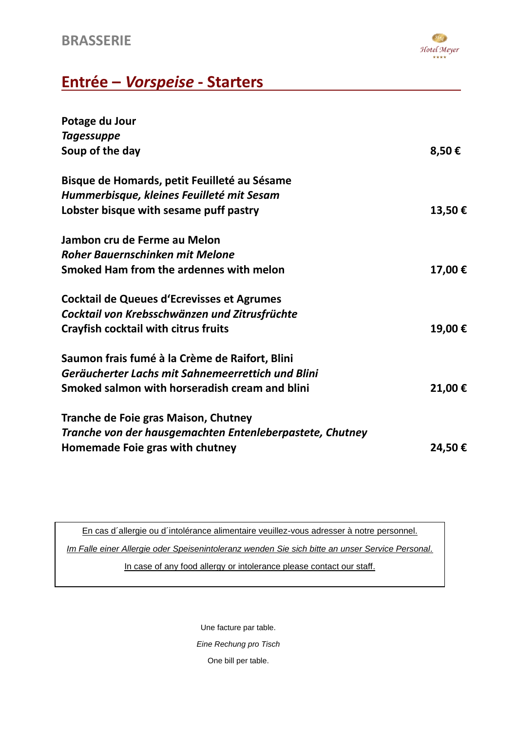

# **Entrée –** *Vorspeise* **- Starters**

| Potage du Jour                                           |        |
|----------------------------------------------------------|--------|
| <b>Tagessuppe</b>                                        |        |
| Soup of the day                                          | 8,50€  |
| Bisque de Homards, petit Feuilleté au Sésame             |        |
| Hummerbisque, kleines Feuilleté mit Sesam                |        |
| Lobster bisque with sesame puff pastry                   | 13,50€ |
| Jambon cru de Ferme au Melon                             |        |
| <b>Roher Bauernschinken mit Melone</b>                   |        |
| Smoked Ham from the ardennes with melon                  | 17,00€ |
| <b>Cocktail de Queues d'Ecrevisses et Agrumes</b>        |        |
| Cocktail von Krebsschwänzen und Zitrusfrüchte            |        |
| <b>Crayfish cocktail with citrus fruits</b>              | 19,00€ |
| Saumon frais fumé à la Crème de Raifort, Blini           |        |
| Geräucherter Lachs mit Sahnemeerrettich und Blini        |        |
| Smoked salmon with horseradish cream and blini           | 21,00€ |
| Tranche de Foie gras Maison, Chutney                     |        |
| Tranche von der hausgemachten Entenleberpastete, Chutney |        |
| Homemade Foie gras with chutney                          | 24,50€ |

En cas d´allergie ou d´intolérance alimentaire veuillez-vous adresser à notre personnel.

*Im Falle einer Allergie oder Speisenintoleranz wenden Sie sich bitte an unser Service Personal.*

In case of any food allergy or intolerance please contact our staff.

Une facture par table. *Eine Rechung pro Tisch* One bill per table.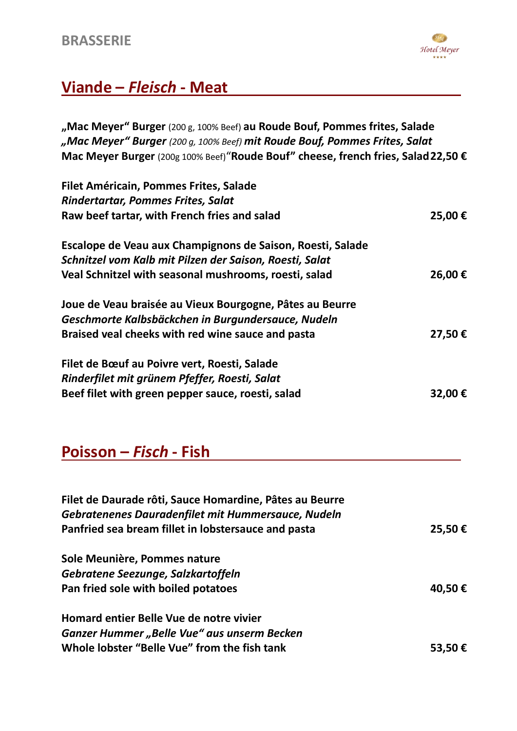

## **Viande –** *Fleisch* **- Meat**

**"Mac Meyer" Burger** (200 g, 100% Beef) **au Roude Bouf, Pommes frites, Salade** *"Mac Meyer" Burger (200 g, 100% Beef) mit Roude Bouf, Pommes Frites, Salat* **Mac Meyer Burger** (200g 100% Beef)"**Roude Bouf" cheese, french fries, Salad22,50 €**

| 25,00 € |
|---------|
|         |
|         |
| 26,00 € |
|         |
|         |
| 27,50€  |
|         |
|         |
| 32,00€  |
|         |

### **Poisson –** *Fisch* **- Fish**

| Filet de Daurade rôti, Sauce Homardine, Pâtes au Beurre   |         |
|-----------------------------------------------------------|---------|
| <b>Gebratenenes Dauradenfilet mit Hummersauce, Nudeln</b> |         |
| Panfried sea bream fillet in lobstersauce and pasta       | 25,50€  |
| Sole Meunière, Pommes nature                              |         |
| Gebratene Seezunge, Salzkartoffeln                        |         |
| Pan fried sole with boiled potatoes                       | 40,50€  |
| Homard entier Belle Vue de notre vivier                   |         |
| Ganzer Hummer "Belle Vue" aus unserm Becken               |         |
| Whole lobster "Belle Vue" from the fish tank              | 53,50 € |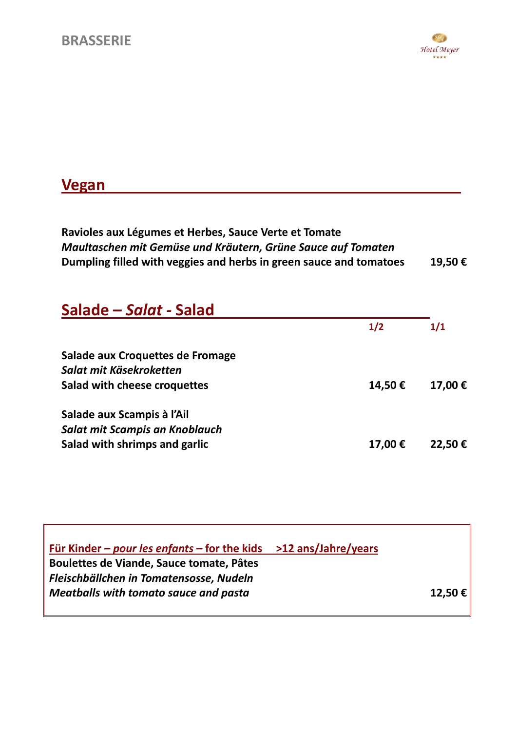

٦

### **Vegan**

**Ravioles aux Légumes et Herbes, Sauce Verte et Tomate** *Maultaschen mit Gemüse und Kräutern, Grüne Sauce auf Tomaten*  **Dumpling filled with veggies and herbs in green sauce and tomatoes 19,50 €**

| Salade - Salat - Salad                                      |         |         |
|-------------------------------------------------------------|---------|---------|
|                                                             | 1/2     | 1/1     |
| Salade aux Croquettes de Fromage<br>Salat mit Käsekroketten |         |         |
| Salad with cheese croquettes                                | 14,50€  | 17,00 € |
| Salade aux Scampis à l'Ail                                  |         |         |
| Salat mit Scampis an Knoblauch                              |         |         |
| Salad with shrimps and garlic                               | 17,00 € | 22,50€  |

| Für Kinder – pour les enfants – for the kids $>12$ ans/Jahre/years |         |
|--------------------------------------------------------------------|---------|
| Boulettes de Viande, Sauce tomate, Pâtes                           |         |
| Fleischbällchen in Tomatensosse, Nudeln                            |         |
| <b>Meatballs with tomato sauce and pasta</b>                       | 12,50 € |
|                                                                    |         |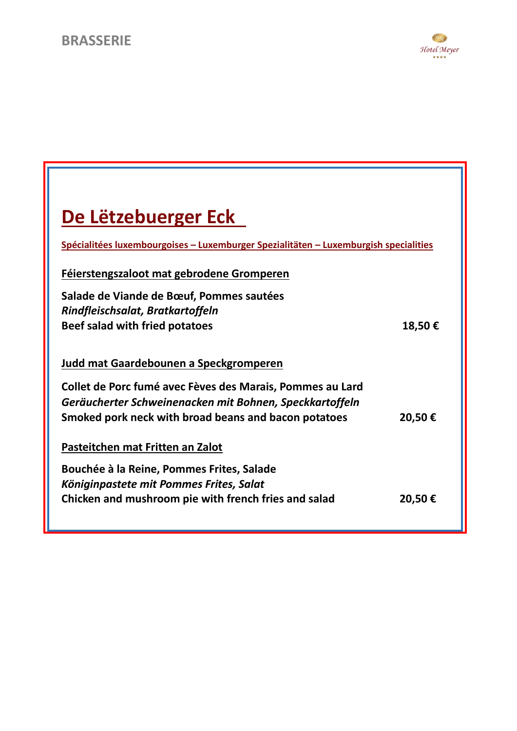

| De Lëtzebuerger Eck                                                                  |        |
|--------------------------------------------------------------------------------------|--------|
| Spécialitées luxembourgoises – Luxemburger Spezialitäten – Luxemburgish specialities |        |
| Féierstengszaloot mat gebrodene Gromperen                                            |        |
| Salade de Viande de Bœuf, Pommes sautées                                             |        |
| Rindfleischsalat, Bratkartoffeln                                                     |        |
| <b>Beef salad with fried potatoes</b>                                                | 18,50€ |
|                                                                                      |        |
| Judd mat Gaardebounen a Speckgromperen                                               |        |
| Collet de Porc fumé avec Fèves des Marais, Pommes au Lard                            |        |
| Geräucherter Schweinenacken mit Bohnen, Speckkartoffeln                              |        |
| Smoked pork neck with broad beans and bacon potatoes                                 | 20,50€ |
| Pasteitchen mat Fritten an Zalot                                                     |        |
| Bouchée à la Reine, Pommes Frites, Salade                                            |        |
| Königinpastete mit Pommes Frites, Salat                                              |        |
| Chicken and mushroom pie with french fries and salad                                 | 20,50€ |
|                                                                                      |        |